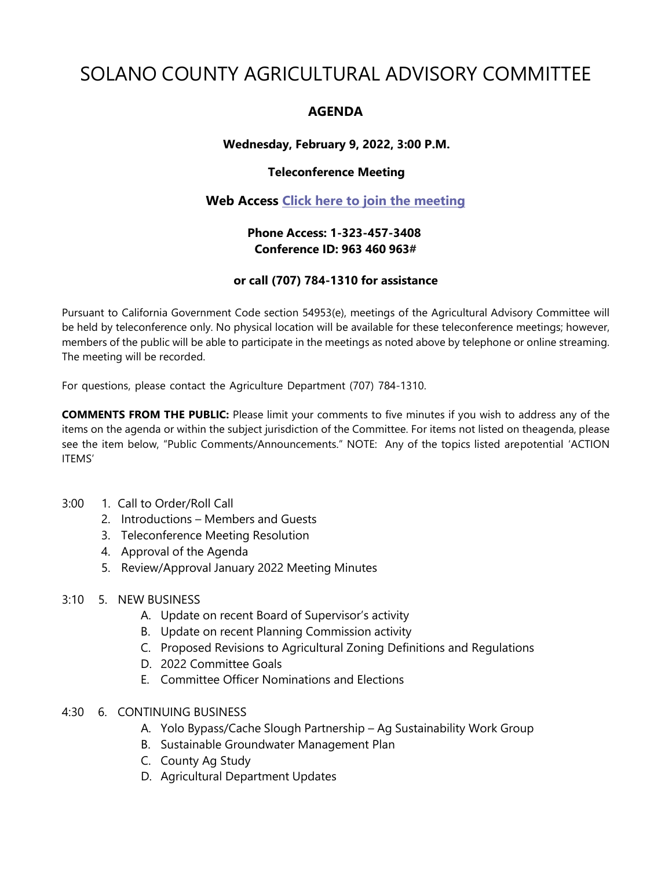# SOLANO COUNTY AGRICULTURAL ADVISORY COMMITTEE

# **AGENDA**

### **Wednesday, February 9, 2022, 3:00 P.M.**

#### **Teleconference Meeting**

## **Web Access [Click here to join the meeting](https://teams.microsoft.com/l/meetup-join/19%3ameeting_OTdmNTEwZGUtODk3Ny00YTVhLTk2YzgtNzZkMDgwNmU4ZjE0%40thread.v2/0?context=%7b%22Tid%22%3a%225e7f20ac-e5f1-4f83-8c3b-ce44b8486421%22%2c%22Oid%22%3a%229b7e0b10-9feb-4114-92ef-db737a66fd13%22%7d)**

## **Phone Access: 1-323-457-3408 Conference ID: 963 460 963#**

#### **or call (707) 784-1310 for assistance**

Pursuant to California Government Code section 54953(e), meetings of the Agricultural Advisory Committee will be held by teleconference only. No physical location will be available for these teleconference meetings; however, members of the public will be able to participate in the meetings as noted above by telephone or online streaming. The meeting will be recorded.

For questions, please contact the Agriculture Department (707) 784-1310.

**COMMENTS FROM THE PUBLIC:** Please limit your comments to five minutes if you wish to address any of the items on the agenda or within the subject jurisdiction of the Committee. For items not listed on theagenda, please see the item below, "Public Comments/Announcements." NOTE: Any of the topics listed arepotential 'ACTION ITEMS'

#### 3:00 1. Call to Order/Roll Call

- 2. Introductions Members and Guests
- 3. Teleconference Meeting Resolution
- 4. Approval of the Agenda
- 5. Review/Approval January 2022 Meeting Minutes

#### 3:10 5. NEW BUSINESS

- A. Update on recent Board of Supervisor's activity
- B. Update on recent Planning Commission activity
- C. Proposed Revisions to Agricultural Zoning Definitions and Regulations
- D. 2022 Committee Goals
- E. Committee Officer Nominations and Elections

#### 4:30 6. CONTINUING BUSINESS

- A. Yolo Bypass/Cache Slough Partnership Ag Sustainability Work Group
- B. Sustainable Groundwater Management Plan
- C. County Ag Study
- D. Agricultural Department Updates